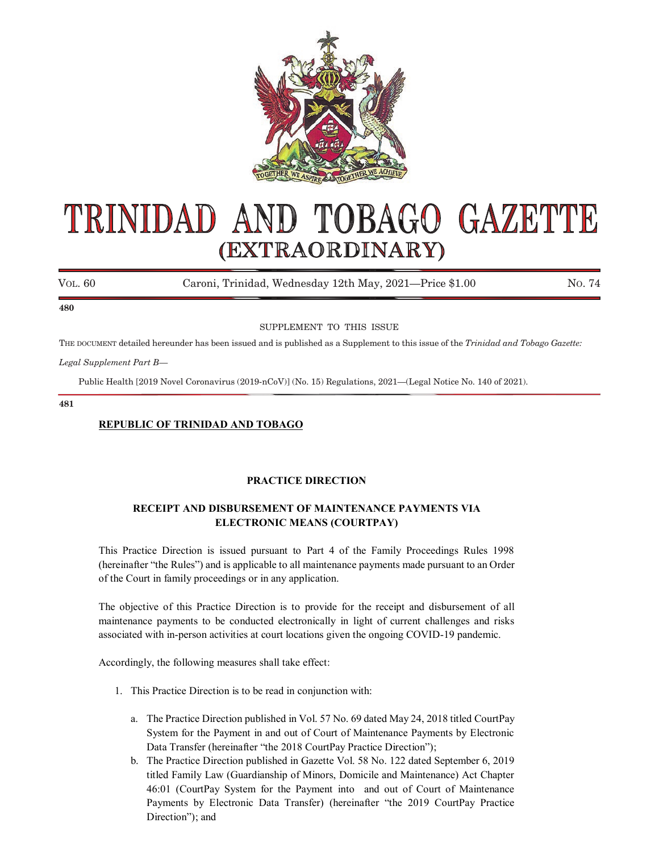

# TRINIDAD AND TOBAGO GAZETTE (EXTRAORDINARY)

VOL. 60 Caroni, Trinidad, Wednesday 12th May, 2021—Price \$1.00 No. 74

#### **480**

SUPPLEMENT TO THIS ISSUE

THE DOCUMENT detailed hereunder has been issued and is published as a Supplement to this issue of the *Trinidad and Tobago Gazette:* 

#### *Legal Supplement Part B—*

Public Health [2019 Novel Coronavirus (2019-nCoV)] (No. 15) Regulations, 2021–(Legal Notice No. 140 of 2021).

**481**

## **REPUBLIC OF TRINIDAD AND TOBAGO**

#### **PRACTICE DIRECTION**

## **RECEIPT AND DISBURSEMENT OF MAINTENANCE PAYMENTS VIA ELECTRONIC MEANS (COURTPAY)**

This Practice Direction is issued pursuant to Part 4 of the Family Proceedings Rules 1998 (hereinafter "the Rules") and is applicable to all maintenance payments made pursuant to an Order of the Court in family proceedings or in any application.

The objective of this Practice Direction is to provide for the receipt and disbursement of all maintenance payments to be conducted electronically in light of current challenges and risks associated with in-person activities at court locations given the ongoing COVID-19 pandemic.

Accordingly, the following measures shall take effect:

- 1. This Practice Direction is to be read in conjunction with:
	- a. The Practice Direction published in Vol. 57 No. 69 dated May 24, 2018 titled CourtPay System for the Payment in and out of Court of Maintenance Payments by Electronic Data Transfer (hereinafter "the 2018 CourtPay Practice Direction");
	- b. The Practice Direction published in Gazette Vol. 58 No. 122 dated September 6, 2019 titled Family Law (Guardianship of Minors, Domicile and Maintenance) Act Chapter 46:01 (CourtPay System for the Payment into and out of Court of Maintenance Payments by Electronic Data Transfer) (hereinafter "the 2019 CourtPay Practice Direction"); and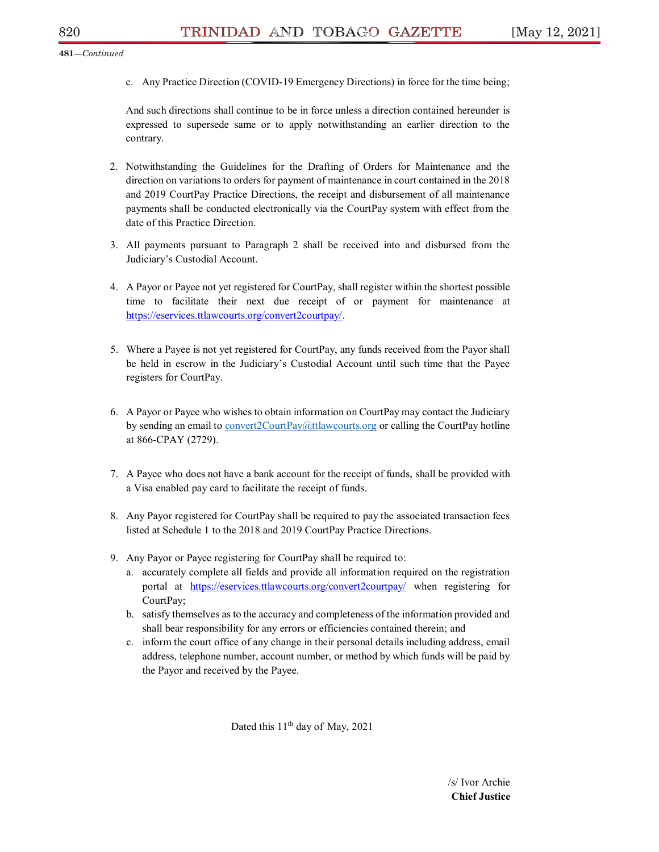**481***—Continued*

;

c. Any Practice Direction (COVID-19 Emergency Directions) in force for the time being;

And such directions shall continue to be in force unless a direction contained hereunder is expressed to supersede same or to apply notwithstanding an earlier direction to the contrary.

- 2. Notwithstanding the Guidelines for the Drafting of Orders for Maintenance and the direction on variations to orders for payment of maintenance in court contained in the 2018 and 2019 CourtPay Practice Directions, the receipt and disbursement of all maintenance payments shall be conducted electronically via the CourtPay system with effect from the date of this Practice Direction.
- 3. All payments pursuant to Paragraph 2 shall be received into and disbursed from the Judiciary's Custodial Account.
- 4. A Payor or Payee not yet registered for CourtPay, shall register within the shortest possible time to facilitate their next due receipt of or payment for maintenance at https://eservices.ttlawcourts.org/convert2courtpay/.
- 5. Where a Payee is not yet registered for CourtPay, any funds received from the Payor shall be held in escrow in the Judiciary's Custodial Account until such time that the Payee registers for CourtPay.
- 6. A Payor or Payee who wishes to obtain information on CourtPay may contact the Judiciary by sending an email to convert2CourtPay@ttlawcourts.org or calling the CourtPay hotline at 866-CPAY (2729).
- 7. A Payee who does not have a bank account for the receipt of funds, shall be provided with a Visa enabled pay card to facilitate the receipt of funds.
- 8. Any Payor registered for CourtPay shall be required to pay the associated transaction fees listed at Schedule 1 to the 2018 and 2019 CourtPay Practice Directions.
- 9. Any Payor or Payee registering for CourtPay shall be required to:
	- a. accurately complete all fields and provide all information required on the registration portal at https://eservices.ttlawcourts.org/convert2courtpay/ when registering for CourtPay;
	- b. satisfy themselves as to the accuracy and completeness of the information provided and shall bear responsibility for any errors or efficiencies contained therein; and
	- c. inform the court office of any change in their personal details including address, email address, telephone number, account number, or method by which funds will be paid by the Payor and received by the Payee.

Dated this 11<sup>th</sup> day of May, 2021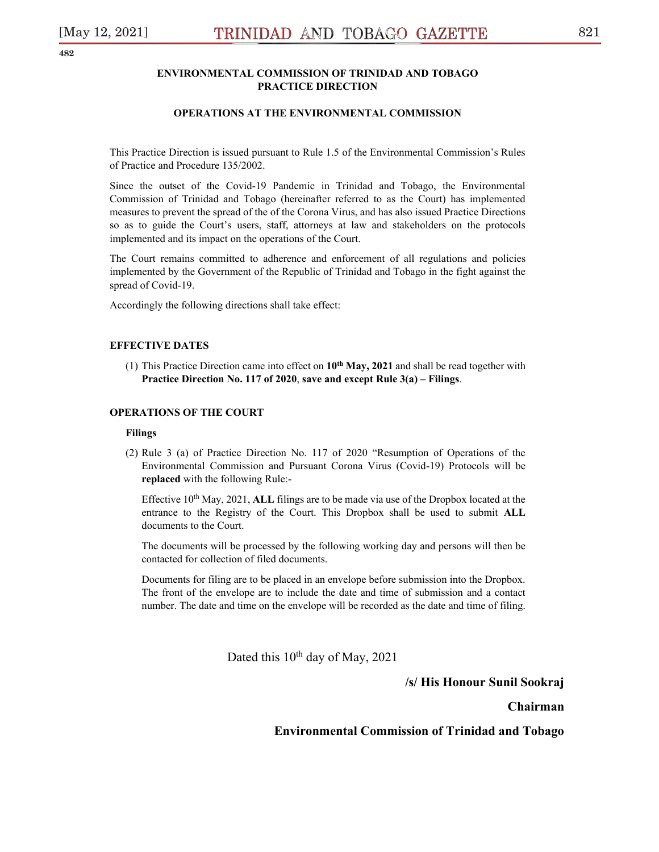**482**

## **ENVIRONMENTAL COMMISSION OF TRINIDAD AND TOBAGO PRACTICE DIRECTION**

### **OPERATIONS AT THE ENVIRONMENTAL COMMISSION**

This Practice Direction is issued pursuant to Rule 1.5 of the Environmental Commission's Rules of Practice and Procedure 135/2002.

Since the outset of the Covid-19 Pandemic in Trinidad and Tobago, the Environmental Commission of Trinidad and Tobago (hereinafter referred to as the Court) has implemented measures to prevent the spread of the of the Corona Virus, and has also issued Practice Directions so as to guide the Court's users, staff, attorneys at law and stakeholders on the protocols implemented and its impact on the operations of the Court.

The Court remains committed to adherence and enforcement of all regulations and policies implemented by the Government of the Republic of Trinidad and Tobago in the fight against the spread of Covid-19.

Accordingly the following directions shall take effect:

#### **EFFECTIVE DATES**

(1) This Practice Direction came into effect on **10th May, 2021** and shall be read together with **Practice Direction No. 117 of 2020**, **save and except Rule 3(a) Filings**.

#### **OPERATIONS OF THE COURT**

#### **Filings**

(2) Rule 3 (a) of Practice Direction No.  $117$  of 2020 "Resumption of Operations of the Environmental Commission and Pursuant Corona Virus (Covid-19) Protocols will be **replaced** with the following Rule:-

Effective 10th May, 2021, **ALL** filings are to be made via use of the Dropbox located at the entrance to the Registry of the Court. This Dropbox shall be used to submit **ALL** documents to the Court.

The documents will be processed by the following working day and persons will then be contacted for collection of filed documents.

Documents for filing are to be placed in an envelope before submission into the Dropbox. The front of the envelope are to include the date and time of submission and a contact number. The date and time on the envelope will be recorded as the date and time of filing.

Dated this  $10^{th}$  day of May, 2021

**/s/ His Honour Sunil Sookraj** 

 **Chairman** 

### **Environmental Commission of Trinidad and Tobago**